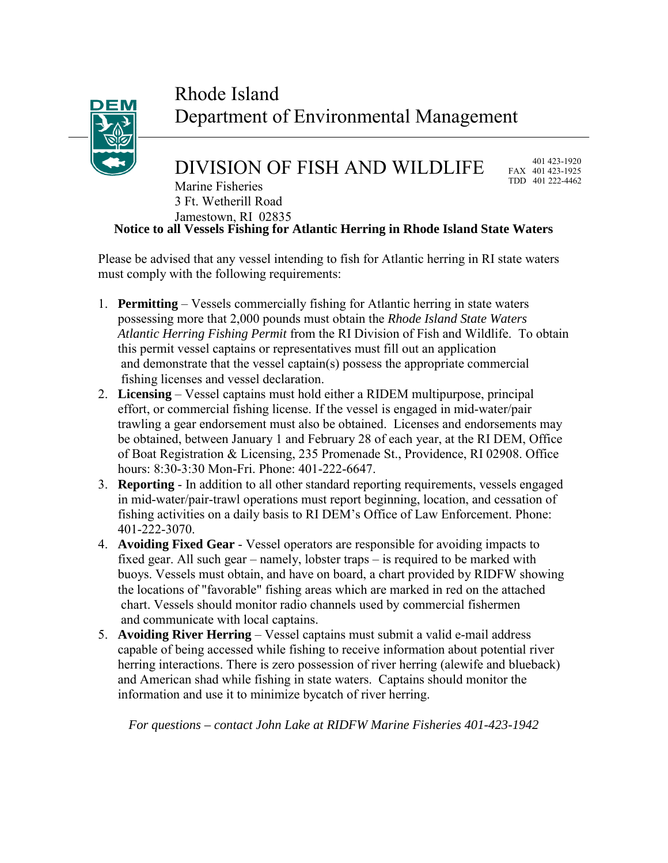## Rhode Island Department of Environmental Management

## DIVISION OF FISH AND WILDLIFE

 401 423-1920 FAX 401 423-1925 TDD 401 222-4462

**Notice to all Vessels Fishing for Atlantic Herring in Rhode Island State Waters** Marine Fisheries 3 Ft. Wetherill Road Jamestown, RI 02835

Please be advised that any vessel intending to fish for Atlantic herring in RI state waters must comply with the following requirements:

- 1. **Permitting** Vessels commercially fishing for Atlantic herring in state waters possessing more that 2,000 pounds must obtain the *Rhode Island State Waters Atlantic Herring Fishing Permit* from the RI Division of Fish and Wildlife. To obtain this permit vessel captains or representatives must fill out an application and demonstrate that the vessel captain(s) possess the appropriate commercial fishing licenses and vessel declaration.
- 2. **Licensing** Vessel captains must hold either a RIDEM multipurpose, principal effort, or commercial fishing license. If the vessel is engaged in mid-water/pair trawling a gear endorsement must also be obtained. Licenses and endorsements may be obtained, between January 1 and February 28 of each year, at the RI DEM, Office of Boat Registration & Licensing, 235 Promenade St., Providence, RI 02908. Office hours: 8:30-3:30 Mon-Fri. Phone: 401-222-6647.
- 3. **Reporting** In addition to all other standard reporting requirements, vessels engaged in mid-water/pair-trawl operations must report beginning, location, and cessation of fishing activities on a daily basis to RI DEM's Office of Law Enforcement. Phone: 401-222-3070.
- 4. **Avoiding Fixed Gear** Vessel operators are responsible for avoiding impacts to fixed gear. All such gear – namely, lobster traps – is required to be marked with buoys. Vessels must obtain, and have on board, a chart provided by RIDFW showing the locations of "favorable" fishing areas which are marked in red on the attached chart. Vessels should monitor radio channels used by commercial fishermen and communicate with local captains.
- 5. **Avoiding River Herring**  Vessel captains must submit a valid e-mail address capable of being accessed while fishing to receive information about potential river herring interactions. There is zero possession of river herring (alewife and blueback) and American shad while fishing in state waters. Captains should monitor the information and use it to minimize bycatch of river herring.

*For questions – contact John Lake at RIDFW Marine Fisheries 401-423-1942*